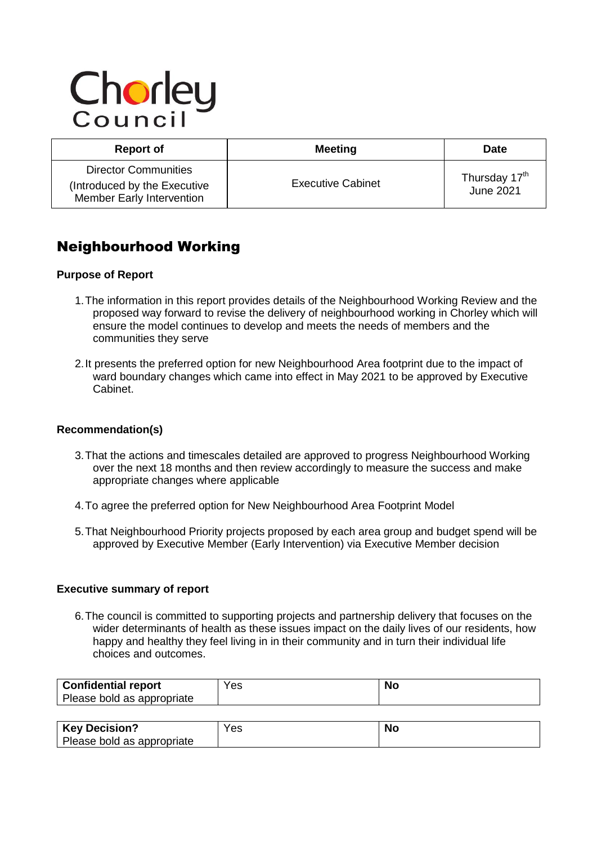# Chorley

| <b>Report of</b>                                                                         | <b>Meeting</b>           | <b>Date</b>                                   |
|------------------------------------------------------------------------------------------|--------------------------|-----------------------------------------------|
| <b>Director Communities</b><br>(Introduced by the Executive<br>Member Early Intervention | <b>Executive Cabinet</b> | Thursday 17 <sup>th</sup><br><b>June 2021</b> |

# Neighbourhood Working

# **Purpose of Report**

- 1.The information in this report provides details of the Neighbourhood Working Review and the proposed way forward to revise the delivery of neighbourhood working in Chorley which will ensure the model continues to develop and meets the needs of members and the communities they serve
- 2.It presents the preferred option for new Neighbourhood Area footprint due to the impact of ward boundary changes which came into effect in May 2021 to be approved by Executive Cabinet.

# **Recommendation(s)**

- 3.That the actions and timescales detailed are approved to progress Neighbourhood Working over the next 18 months and then review accordingly to measure the success and make appropriate changes where applicable
- 4.To agree the preferred option for New Neighbourhood Area Footprint Model
- 5.That Neighbourhood Priority projects proposed by each area group and budget spend will be approved by Executive Member (Early Intervention) via Executive Member decision

# **Executive summary of report**

6.The council is committed to supporting projects and partnership delivery that focuses on the wider determinants of health as these issues impact on the daily lives of our residents, how happy and healthy they feel living in in their community and in turn their individual life choices and outcomes.

| Confidential report        | Yes | <b>No</b> |
|----------------------------|-----|-----------|
| Please bold as appropriate |     |           |
|                            |     |           |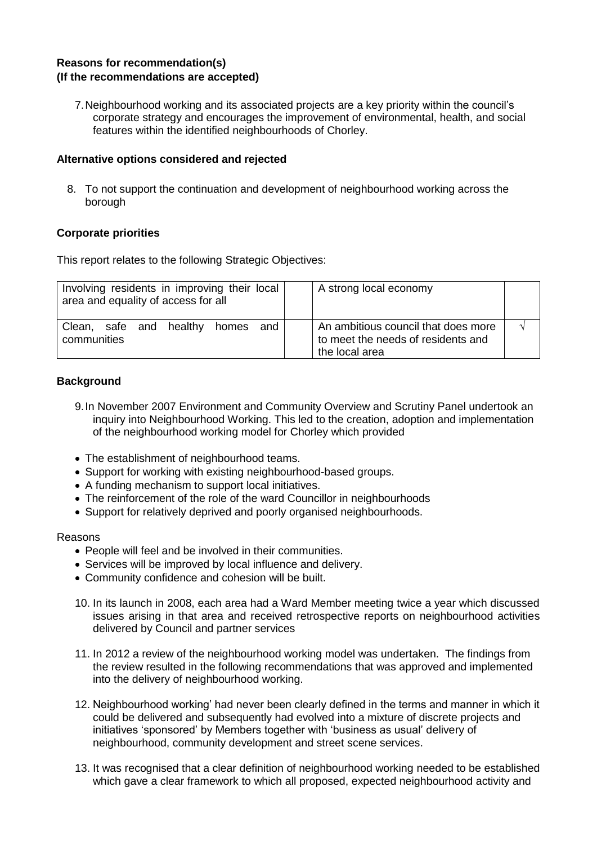# **Reasons for recommendation(s) (If the recommendations are accepted)**

7.Neighbourhood working and its associated projects are a key priority within the council's corporate strategy and encourages the improvement of environmental, health, and social features within the identified neighbourhoods of Chorley.

# **Alternative options considered and rejected**

8. To not support the continuation and development of neighbourhood working across the borough

# **Corporate priorities**

This report relates to the following Strategic Objectives:

| Involving residents in improving their local<br>area and equality of access for all | A strong local economy                                                                      |  |
|-------------------------------------------------------------------------------------|---------------------------------------------------------------------------------------------|--|
| Clean, safe and healthy<br>and<br>homes<br>communities                              | An ambitious council that does more<br>to meet the needs of residents and<br>the local area |  |

# **Background**

- 9.In November 2007 Environment and Community Overview and Scrutiny Panel undertook an inquiry into Neighbourhood Working. This led to the creation, adoption and implementation of the neighbourhood working model for Chorley which provided
- The establishment of neighbourhood teams.
- Support for working with existing neighbourhood-based groups.
- A funding mechanism to support local initiatives.
- The reinforcement of the role of the ward Councillor in neighbourhoods
- Support for relatively deprived and poorly organised neighbourhoods.

# Reasons

- People will feel and be involved in their communities.
- Services will be improved by local influence and delivery.
- Community confidence and cohesion will be built.
- 10. In its launch in 2008, each area had a Ward Member meeting twice a year which discussed issues arising in that area and received retrospective reports on neighbourhood activities delivered by Council and partner services
- 11. In 2012 a review of the neighbourhood working model was undertaken. The findings from the review resulted in the following recommendations that was approved and implemented into the delivery of neighbourhood working.
- 12. Neighbourhood working' had never been clearly defined in the terms and manner in which it could be delivered and subsequently had evolved into a mixture of discrete projects and initiatives 'sponsored' by Members together with 'business as usual' delivery of neighbourhood, community development and street scene services.
- 13. It was recognised that a clear definition of neighbourhood working needed to be established which gave a clear framework to which all proposed, expected neighbourhood activity and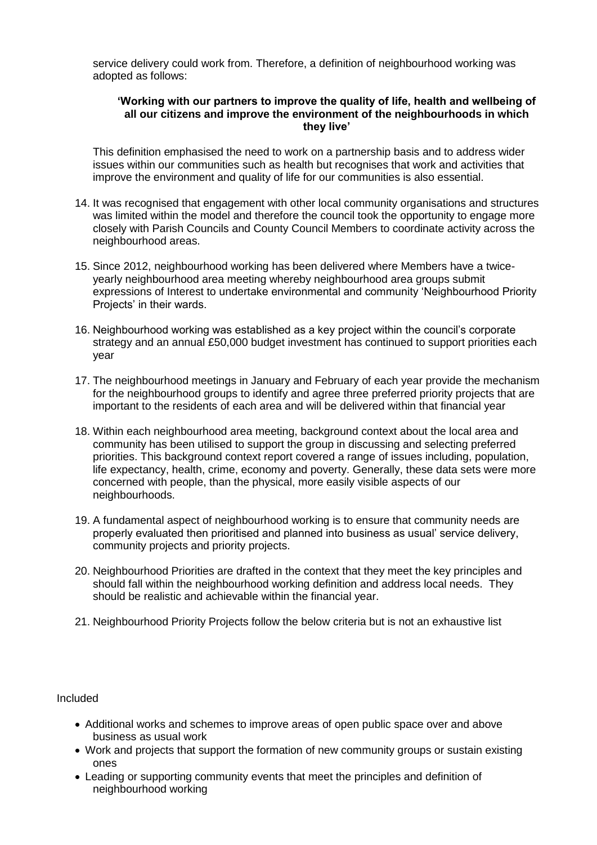service delivery could work from. Therefore, a definition of neighbourhood working was adopted as follows:

#### **'Working with our partners to improve the quality of life, health and wellbeing of all our citizens and improve the environment of the neighbourhoods in which they live'**

This definition emphasised the need to work on a partnership basis and to address wider issues within our communities such as health but recognises that work and activities that improve the environment and quality of life for our communities is also essential.

- 14. It was recognised that engagement with other local community organisations and structures was limited within the model and therefore the council took the opportunity to engage more closely with Parish Councils and County Council Members to coordinate activity across the neighbourhood areas.
- 15. Since 2012, neighbourhood working has been delivered where Members have a twiceyearly neighbourhood area meeting whereby neighbourhood area groups submit expressions of Interest to undertake environmental and community 'Neighbourhood Priority Projects' in their wards.
- 16. Neighbourhood working was established as a key project within the council's corporate strategy and an annual £50,000 budget investment has continued to support priorities each year
- 17. The neighbourhood meetings in January and February of each year provide the mechanism for the neighbourhood groups to identify and agree three preferred priority projects that are important to the residents of each area and will be delivered within that financial year
- 18. Within each neighbourhood area meeting, background context about the local area and community has been utilised to support the group in discussing and selecting preferred priorities. This background context report covered a range of issues including, population, life expectancy, health, crime, economy and poverty. Generally, these data sets were more concerned with people, than the physical, more easily visible aspects of our neighbourhoods.
- 19. A fundamental aspect of neighbourhood working is to ensure that community needs are properly evaluated then prioritised and planned into business as usual' service delivery, community projects and priority projects.
- 20. Neighbourhood Priorities are drafted in the context that they meet the key principles and should fall within the neighbourhood working definition and address local needs. They should be realistic and achievable within the financial year.
- 21. Neighbourhood Priority Projects follow the below criteria but is not an exhaustive list

Included

- Additional works and schemes to improve areas of open public space over and above business as usual work
- Work and projects that support the formation of new community groups or sustain existing ones
- Leading or supporting community events that meet the principles and definition of neighbourhood working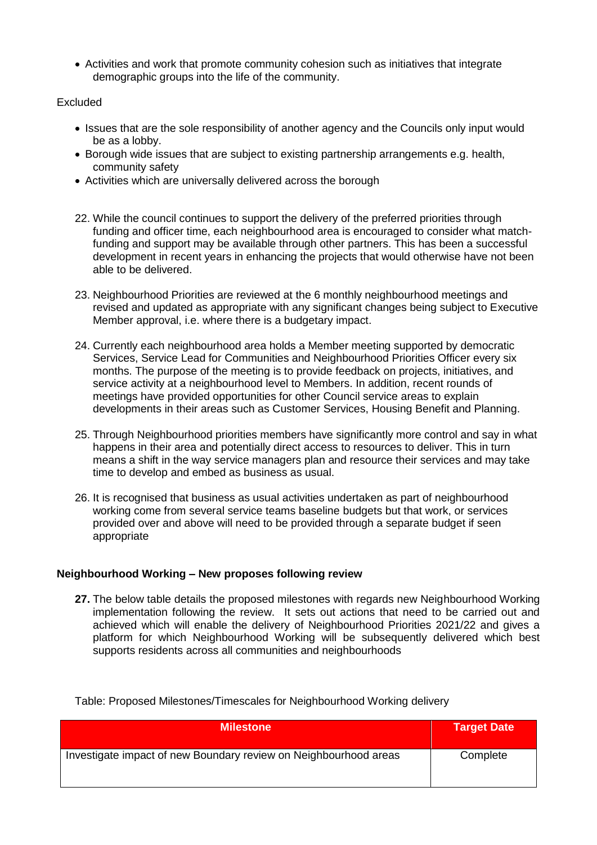Activities and work that promote community cohesion such as initiatives that integrate demographic groups into the life of the community.

# Excluded

- Issues that are the sole responsibility of another agency and the Councils only input would be as a lobby.
- Borough wide issues that are subject to existing partnership arrangements e.g. health, community safety
- Activities which are universally delivered across the borough
- 22. While the council continues to support the delivery of the preferred priorities through funding and officer time, each neighbourhood area is encouraged to consider what matchfunding and support may be available through other partners. This has been a successful development in recent years in enhancing the projects that would otherwise have not been able to be delivered.
- 23. Neighbourhood Priorities are reviewed at the 6 monthly neighbourhood meetings and revised and updated as appropriate with any significant changes being subject to Executive Member approval, i.e. where there is a budgetary impact.
- 24. Currently each neighbourhood area holds a Member meeting supported by democratic Services, Service Lead for Communities and Neighbourhood Priorities Officer every six months. The purpose of the meeting is to provide feedback on projects, initiatives, and service activity at a neighbourhood level to Members. In addition, recent rounds of meetings have provided opportunities for other Council service areas to explain developments in their areas such as Customer Services, Housing Benefit and Planning.
- 25. Through Neighbourhood priorities members have significantly more control and say in what happens in their area and potentially direct access to resources to deliver. This in turn means a shift in the way service managers plan and resource their services and may take time to develop and embed as business as usual.
- 26. It is recognised that business as usual activities undertaken as part of neighbourhood working come from several service teams baseline budgets but that work, or services provided over and above will need to be provided through a separate budget if seen appropriate

#### **Neighbourhood Working – New proposes following review**

**27.** The below table details the proposed milestones with regards new Neighbourhood Working implementation following the review. It sets out actions that need to be carried out and achieved which will enable the delivery of Neighbourhood Priorities 2021/22 and gives a platform for which Neighbourhood Working will be subsequently delivered which best supports residents across all communities and neighbourhoods

Table: Proposed Milestones/Timescales for Neighbourhood Working delivery

| <b>Milestone</b>                                                 | Target Date |
|------------------------------------------------------------------|-------------|
| Investigate impact of new Boundary review on Neighbourhood areas | Complete    |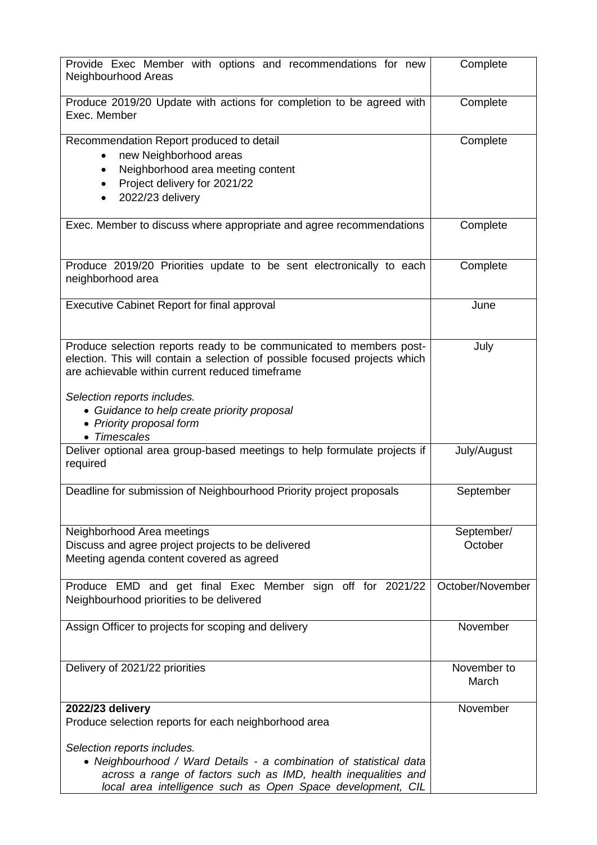| Provide Exec Member with options and recommendations for new<br>Neighbourhood Areas                                                                                                                                                                                                                                            | Complete              |
|--------------------------------------------------------------------------------------------------------------------------------------------------------------------------------------------------------------------------------------------------------------------------------------------------------------------------------|-----------------------|
| Produce 2019/20 Update with actions for completion to be agreed with<br>Exec. Member                                                                                                                                                                                                                                           | Complete              |
| Recommendation Report produced to detail<br>new Neighborhood areas<br>Neighborhood area meeting content<br>Project delivery for 2021/22<br>2022/23 delivery                                                                                                                                                                    | Complete              |
| Exec. Member to discuss where appropriate and agree recommendations                                                                                                                                                                                                                                                            | Complete              |
| Produce 2019/20 Priorities update to be sent electronically to each<br>neighborhood area                                                                                                                                                                                                                                       | Complete              |
| <b>Executive Cabinet Report for final approval</b>                                                                                                                                                                                                                                                                             | June                  |
| Produce selection reports ready to be communicated to members post-<br>election. This will contain a selection of possible focused projects which<br>are achievable within current reduced timeframe<br>Selection reports includes.<br>• Guidance to help create priority proposal<br>• Priority proposal form<br>• Timescales | July                  |
| Deliver optional area group-based meetings to help formulate projects if<br>required                                                                                                                                                                                                                                           | July/August           |
| Deadline for submission of Neighbourhood Priority project proposals                                                                                                                                                                                                                                                            | September             |
| Neighborhood Area meetings<br>Discuss and agree project projects to be delivered<br>Meeting agenda content covered as agreed                                                                                                                                                                                                   | September/<br>October |
| Produce EMD and get final Exec Member sign off for 2021/22<br>Neighbourhood priorities to be delivered                                                                                                                                                                                                                         | October/November      |
| Assign Officer to projects for scoping and delivery                                                                                                                                                                                                                                                                            | November              |
| Delivery of 2021/22 priorities                                                                                                                                                                                                                                                                                                 | November to<br>March  |
| 2022/23 delivery<br>Produce selection reports for each neighborhood area<br>Selection reports includes.<br>• Neighbourhood / Ward Details - a combination of statistical data<br>across a range of factors such as IMD, health inequalities and<br>local area intelligence such as Open Space development, CIL                 | November              |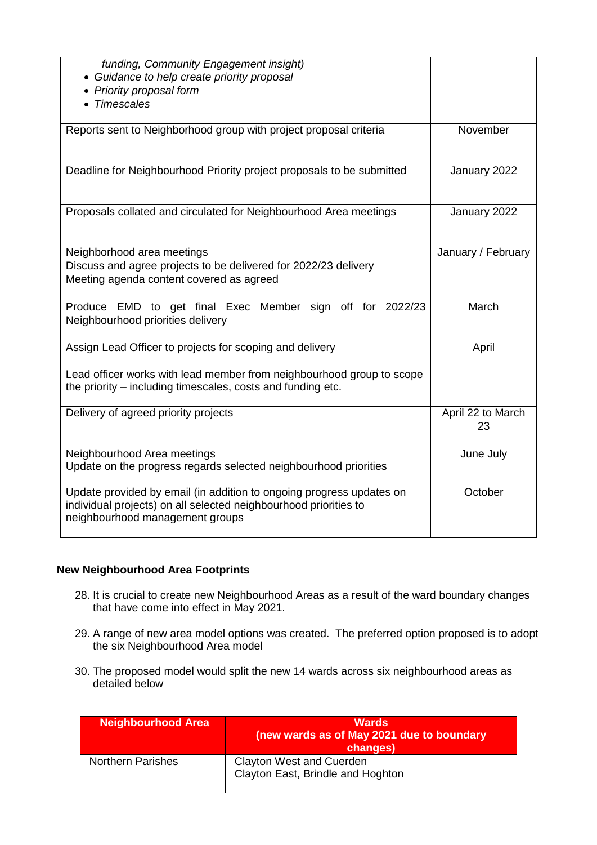| funding, Community Engagement insight)<br>• Guidance to help create priority proposal<br>• Priority proposal form<br>Timescales           |                         |
|-------------------------------------------------------------------------------------------------------------------------------------------|-------------------------|
| Reports sent to Neighborhood group with project proposal criteria                                                                         | November                |
| Deadline for Neighbourhood Priority project proposals to be submitted                                                                     | January 2022            |
| Proposals collated and circulated for Neighbourhood Area meetings                                                                         | January 2022            |
| Neighborhood area meetings<br>Discuss and agree projects to be delivered for 2022/23 delivery<br>Meeting agenda content covered as agreed | January / February      |
| Produce EMD to get final Exec Member sign off for 2022/23<br>Neighbourhood priorities delivery                                            | March                   |
| Assign Lead Officer to projects for scoping and delivery                                                                                  |                         |
| Lead officer works with lead member from neighbourhood group to scope<br>the priority – including timescales, costs and funding etc.      | April                   |
| Delivery of agreed priority projects                                                                                                      | April 22 to March<br>23 |
| Neighbourhood Area meetings<br>Update on the progress regards selected neighbourhood priorities                                           | June July               |

# **New Neighbourhood Area Footprints**

- 28. It is crucial to create new Neighbourhood Areas as a result of the ward boundary changes that have come into effect in May 2021.
- 29. A range of new area model options was created. The preferred option proposed is to adopt the six Neighbourhood Area model
- 30. The proposed model would split the new 14 wards across six neighbourhood areas as detailed below

| <b>Neighbourhood Area</b> | <b>Wards</b><br>(new wards as of May 2021 due to boundary<br>changes) |
|---------------------------|-----------------------------------------------------------------------|
| <b>Northern Parishes</b>  | <b>Clayton West and Cuerden</b><br>Clayton East, Brindle and Hoghton  |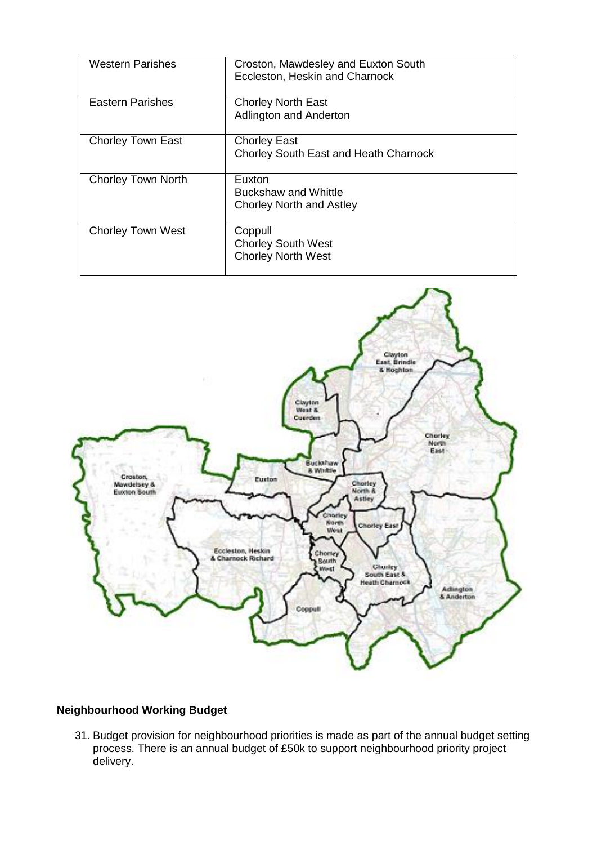| Western Parishes          | Croston, Mawdesley and Euxton South<br>Eccleston, Heskin and Charnock    |
|---------------------------|--------------------------------------------------------------------------|
| <b>Eastern Parishes</b>   | <b>Chorley North East</b><br>Adlington and Anderton                      |
| <b>Chorley Town East</b>  | <b>Chorley East</b><br>Chorley South East and Heath Charnock             |
| <b>Chorley Town North</b> | Euxton<br><b>Buckshaw and Whittle</b><br><b>Chorley North and Astley</b> |
| <b>Chorley Town West</b>  | Coppull<br><b>Chorley South West</b><br><b>Chorley North West</b>        |



# **Neighbourhood Working Budget**

31. Budget provision for neighbourhood priorities is made as part of the annual budget setting process. There is an annual budget of £50k to support neighbourhood priority project delivery.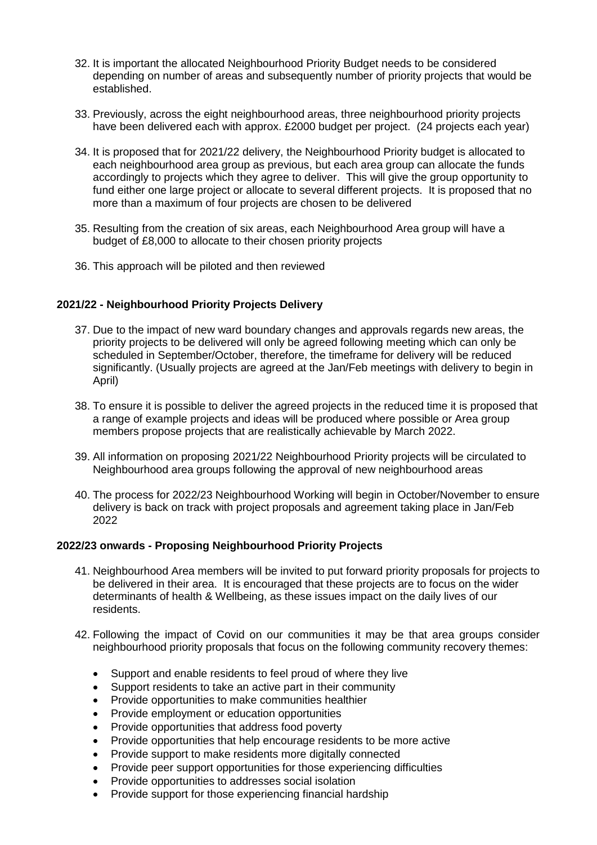- 32. It is important the allocated Neighbourhood Priority Budget needs to be considered depending on number of areas and subsequently number of priority projects that would be established.
- 33. Previously, across the eight neighbourhood areas, three neighbourhood priority projects have been delivered each with approx. £2000 budget per project. (24 projects each year)
- 34. It is proposed that for 2021/22 delivery, the Neighbourhood Priority budget is allocated to each neighbourhood area group as previous, but each area group can allocate the funds accordingly to projects which they agree to deliver. This will give the group opportunity to fund either one large project or allocate to several different projects. It is proposed that no more than a maximum of four projects are chosen to be delivered
- 35. Resulting from the creation of six areas, each Neighbourhood Area group will have a budget of £8,000 to allocate to their chosen priority projects
- 36. This approach will be piloted and then reviewed

# **2021/22 - Neighbourhood Priority Projects Delivery**

- 37. Due to the impact of new ward boundary changes and approvals regards new areas, the priority projects to be delivered will only be agreed following meeting which can only be scheduled in September/October, therefore, the timeframe for delivery will be reduced significantly. (Usually projects are agreed at the Jan/Feb meetings with delivery to begin in April)
- 38. To ensure it is possible to deliver the agreed projects in the reduced time it is proposed that a range of example projects and ideas will be produced where possible or Area group members propose projects that are realistically achievable by March 2022.
- 39. All information on proposing 2021/22 Neighbourhood Priority projects will be circulated to Neighbourhood area groups following the approval of new neighbourhood areas
- 40. The process for 2022/23 Neighbourhood Working will begin in October/November to ensure delivery is back on track with project proposals and agreement taking place in Jan/Feb 2022

#### **2022/23 onwards - Proposing Neighbourhood Priority Projects**

- 41. Neighbourhood Area members will be invited to put forward priority proposals for projects to be delivered in their area. It is encouraged that these projects are to focus on the wider determinants of health & Wellbeing, as these issues impact on the daily lives of our residents.
- 42. Following the impact of Covid on our communities it may be that area groups consider neighbourhood priority proposals that focus on the following community recovery themes:
	- Support and enable residents to feel proud of where they live
	- Support residents to take an active part in their community
	- Provide opportunities to make communities healthier
	- Provide employment or education opportunities
	- Provide opportunities that address food poverty
	- Provide opportunities that help encourage residents to be more active
	- Provide support to make residents more digitally connected
	- Provide peer support opportunities for those experiencing difficulties
	- Provide opportunities to addresses social isolation
	- Provide support for those experiencing financial hardship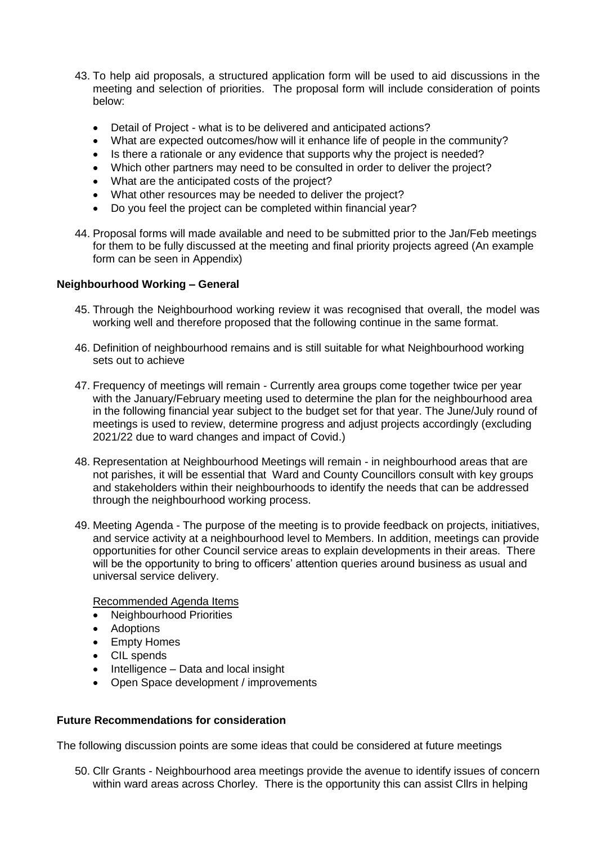- 43. To help aid proposals, a structured application form will be used to aid discussions in the meeting and selection of priorities. The proposal form will include consideration of points below:
	- Detail of Project what is to be delivered and anticipated actions?
	- What are expected outcomes/how will it enhance life of people in the community?
	- Is there a rationale or any evidence that supports why the project is needed?
	- Which other partners may need to be consulted in order to deliver the project?
	- What are the anticipated costs of the project?
	- What other resources may be needed to deliver the project?
	- Do you feel the project can be completed within financial year?
- 44. Proposal forms will made available and need to be submitted prior to the Jan/Feb meetings for them to be fully discussed at the meeting and final priority projects agreed (An example form can be seen in Appendix)

# **Neighbourhood Working – General**

- 45. Through the Neighbourhood working review it was recognised that overall, the model was working well and therefore proposed that the following continue in the same format.
- 46. Definition of neighbourhood remains and is still suitable for what Neighbourhood working sets out to achieve
- 47. Frequency of meetings will remain Currently area groups come together twice per year with the January/February meeting used to determine the plan for the neighbourhood area in the following financial year subject to the budget set for that year. The June/July round of meetings is used to review, determine progress and adjust projects accordingly (excluding 2021/22 due to ward changes and impact of Covid.)
- 48. Representation at Neighbourhood Meetings will remain in neighbourhood areas that are not parishes, it will be essential that Ward and County Councillors consult with key groups and stakeholders within their neighbourhoods to identify the needs that can be addressed through the neighbourhood working process.
- 49. Meeting Agenda The purpose of the meeting is to provide feedback on projects, initiatives, and service activity at a neighbourhood level to Members. In addition, meetings can provide opportunities for other Council service areas to explain developments in their areas. There will be the opportunity to bring to officers' attention queries around business as usual and universal service delivery.

Recommended Agenda Items

- Neighbourhood Priorities
- Adoptions
- Empty Homes
- CIL spends
- $\bullet$  Intelligence Data and local insight
- Open Space development / improvements

# **Future Recommendations for consideration**

The following discussion points are some ideas that could be considered at future meetings

50. Cllr Grants - Neighbourhood area meetings provide the avenue to identify issues of concern within ward areas across Chorley. There is the opportunity this can assist Cllrs in helping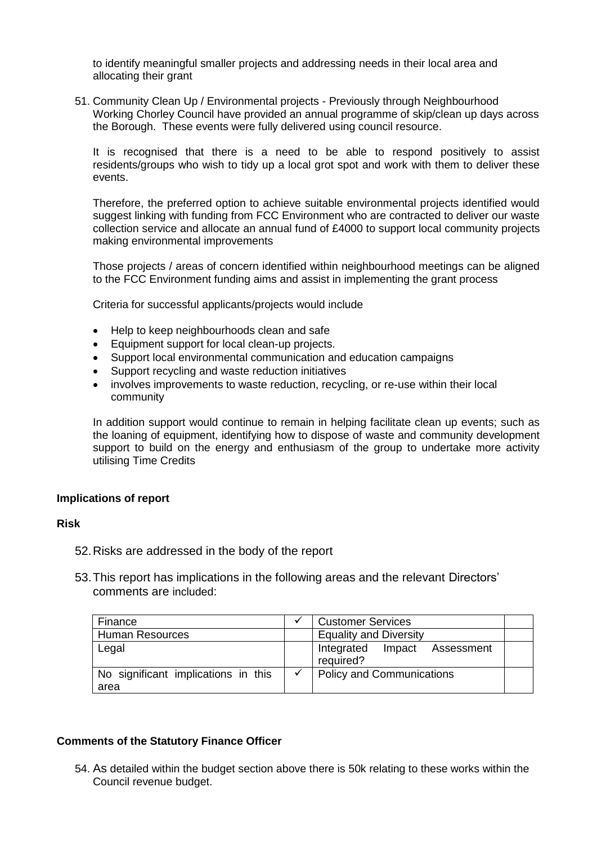to identify meaningful smaller projects and addressing needs in their local area and allocating their grant

51. Community Clean Up / Environmental projects - Previously through Neighbourhood Working Chorley Council have provided an annual programme of skip/clean up days across the Borough. These events were fully delivered using council resource.

It is recognised that there is a need to be able to respond positively to assist residents/groups who wish to tidy up a local grot spot and work with them to deliver these events.

Therefore, the preferred option to achieve suitable environmental projects identified would suggest linking with funding from FCC Environment who are contracted to deliver our waste collection service and allocate an annual fund of £4000 to support local community projects making environmental improvements

Those projects / areas of concern identified within neighbourhood meetings can be aligned to the FCC Environment funding aims and assist in implementing the grant process

Criteria for successful applicants/projects would include

- Help to keep neighbourhoods clean and safe
- Equipment support for local clean-up projects.
- Support local environmental communication and education campaigns
- Support recycling and waste reduction initiatives
- involves improvements to waste reduction, recycling, or re-use within their local community

In addition support would continue to remain in helping facilitate clean up events; such as the loaning of equipment, identifying how to dispose of waste and community development support to build on the energy and enthusiasm of the group to undertake more activity utilising Time Credits

# **Implications of report**

#### **Risk**

- 52.Risks are addressed in the body of the report
- 53.This report has implications in the following areas and the relevant Directors' comments are included:

| Finance                                     | <b>Customer Services</b>                  |  |
|---------------------------------------------|-------------------------------------------|--|
| <b>Human Resources</b>                      | <b>Equality and Diversity</b>             |  |
| Legal                                       | Integrated Impact Assessment<br>required? |  |
| No significant implications in this<br>area | <b>Policy and Communications</b>          |  |

#### **Comments of the Statutory Finance Officer**

54. As detailed within the budget section above there is 50k relating to these works within the Council revenue budget.